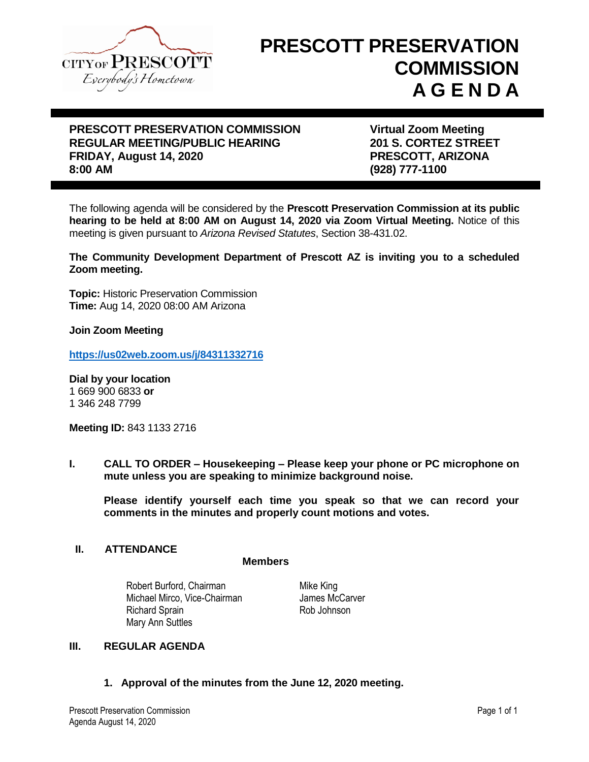

# **PRESCOTT PRESERVATION COMMISSION A G E N D A**

## **PRESCOTT PRESERVATION COMMISSION Virtual Zoom Meeting REGULAR MEETING/PUBLIC HEARING 201 S. CORTEZ STREET FRIDAY, August 14, 2020 PRESCOTT, ARIZONA 8:00 AM (928) 777-1100**

The following agenda will be considered by the **Prescott Preservation Commission at its public hearing to be held at 8:00 AM on August 14, 2020 via Zoom Virtual Meeting.** Notice of this meeting is given pursuant to *Arizona Revised Statutes*, Section 38-431.02.

**The Community Development Department of Prescott AZ is inviting you to a scheduled Zoom meeting.**

**Topic:** Historic Preservation Commission **Time:** Aug 14, 2020 08:00 AM Arizona

**Join Zoom Meeting**

**<https://us02web.zoom.us/j/84311332716>**

**Dial by your location**  1 669 900 6833 **or** 1 346 248 7799

**Meeting ID:** 843 1133 2716

**I. CALL TO ORDER – Housekeeping – Please keep your phone or PC microphone on mute unless you are speaking to minimize background noise.**

**Please identify yourself each time you speak so that we can record your comments in the minutes and properly count motions and votes.**

#### **II. ATTENDANCE**

**Members**

Robert Burford, Chairman Michael Mirco, Vice-Chairman Richard Sprain Rob Johnson Mary Ann Suttles

Mike King James McCarver

## **III. REGULAR AGENDA**

#### **1. Approval of the minutes from the June 12, 2020 meeting.**